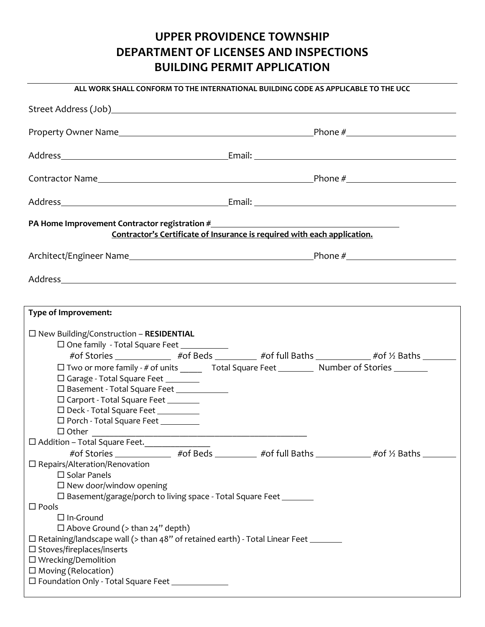## **UPPER PROVIDENCE TOWNSHIP DEPARTMENT OF LICENSES AND INSPECTIONS BUILDING PERMIT APPLICATION**

|                                                                                                                                                                                                                                                                                                                                                                                                                                                                                                           | ALL WORK SHALL CONFORM TO THE INTERNATIONAL BUILDING CODE AS APPLICABLE TO THE UCC                                                                                                                |
|-----------------------------------------------------------------------------------------------------------------------------------------------------------------------------------------------------------------------------------------------------------------------------------------------------------------------------------------------------------------------------------------------------------------------------------------------------------------------------------------------------------|---------------------------------------------------------------------------------------------------------------------------------------------------------------------------------------------------|
|                                                                                                                                                                                                                                                                                                                                                                                                                                                                                                           |                                                                                                                                                                                                   |
|                                                                                                                                                                                                                                                                                                                                                                                                                                                                                                           |                                                                                                                                                                                                   |
|                                                                                                                                                                                                                                                                                                                                                                                                                                                                                                           |                                                                                                                                                                                                   |
|                                                                                                                                                                                                                                                                                                                                                                                                                                                                                                           |                                                                                                                                                                                                   |
|                                                                                                                                                                                                                                                                                                                                                                                                                                                                                                           |                                                                                                                                                                                                   |
| PA Home Improvement Contractor registration #___________________________________                                                                                                                                                                                                                                                                                                                                                                                                                          | Contractor's Certificate of Insurance is required with each application.                                                                                                                          |
|                                                                                                                                                                                                                                                                                                                                                                                                                                                                                                           |                                                                                                                                                                                                   |
|                                                                                                                                                                                                                                                                                                                                                                                                                                                                                                           |                                                                                                                                                                                                   |
| Type of Improvement:                                                                                                                                                                                                                                                                                                                                                                                                                                                                                      |                                                                                                                                                                                                   |
| $\square$ New Building/Construction - RESIDENTIAL<br>□ One family - Total Square Feet<br>□ Garage - Total Square Feet ________<br>□ Basement - Total Square Feet ____________<br>□ Carport - Total Square Feet _______<br>D Deck - Total Square Feet                                                                                                                                                                                                                                                      | #of Stories ______________ #of Beds _________ #of full Baths ___________ #of 1/2 Baths ________<br>□ Two or more family - # of units ______ Total Square Feet _________ Number of Stories _______ |
| □ Porch - Total Square Feet _________<br>$\Box$ Other<br>□ Addition - Total Square Feet.<br>□                                                                                                                                                                                                                                                                                                                                                                                                             | #of Stories ______________ #of Beds _________ #of full Baths ___________ #of 1/2 Baths ________                                                                                                   |
| $\square$ Repairs/Alteration/Renovation<br>$\square$ Solar Panels<br>$\Box$ New door/window opening<br>□ Basement/garage/porch to living space - Total Square Feet ________<br>$\square$ Pools<br>$\Box$ In-Ground<br>$\Box$ Above Ground (> than 24" depth)<br>$\Box$ Retaining/landscape wall (> than 48" of retained earth) - Total Linear Feet _______<br>$\square$ Stoves/fireplaces/inserts<br>$\Box$ Wrecking/Demolition<br>$\square$ Moving (Relocation)<br>□ Foundation Only - Total Square Feet |                                                                                                                                                                                                   |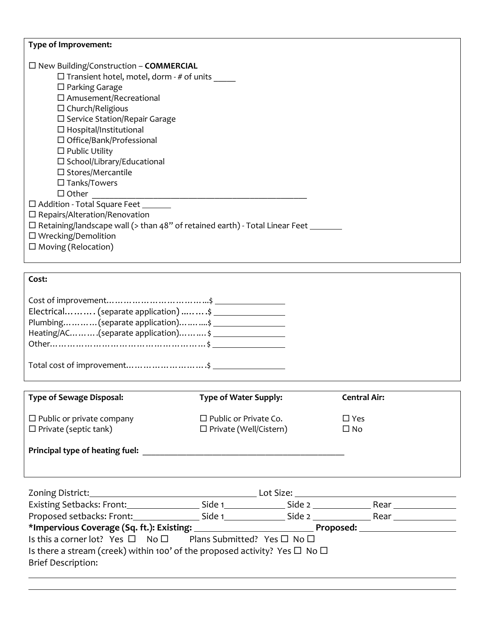| Type of Improvement:<br>$\Box$ New Building/Construction – <b>COMMERCIAL</b><br>$\Box$ Transient hotel, motel, dorm - # of units _____<br>$\Box$ Parking Garage<br>$\square$ Amusement/Recreational<br>$\Box$ Church/Religious<br>$\square$ Service Station/Repair Garage<br>$\Box$ Hospital/Institutional<br>$\Box$ Office/Bank/Professional<br>$\Box$ Public Utility<br>$\square$ School/Library/Educational<br>$\square$ Stores/Mercantile<br>$\Box$ Tanks/Towers<br>$\Box$ Other<br>□ Addition - Total Square Feet<br>$\square$ Repairs/Alteration/Renovation<br>□ Retaining/landscape wall (> than 48" of retained earth) - Total Linear Feet _______<br>$\Box$ Wrecking/Demolition |                                                               |  |                            |  |  |
|------------------------------------------------------------------------------------------------------------------------------------------------------------------------------------------------------------------------------------------------------------------------------------------------------------------------------------------------------------------------------------------------------------------------------------------------------------------------------------------------------------------------------------------------------------------------------------------------------------------------------------------------------------------------------------------|---------------------------------------------------------------|--|----------------------------|--|--|
| $\square$ Moving (Relocation)                                                                                                                                                                                                                                                                                                                                                                                                                                                                                                                                                                                                                                                            |                                                               |  |                            |  |  |
|                                                                                                                                                                                                                                                                                                                                                                                                                                                                                                                                                                                                                                                                                          |                                                               |  |                            |  |  |
| Cost:                                                                                                                                                                                                                                                                                                                                                                                                                                                                                                                                                                                                                                                                                    |                                                               |  |                            |  |  |
| Electrical (separate application)  \$<br>Plumbing(separate application)\$<br>Heating/AC(separate application) \$                                                                                                                                                                                                                                                                                                                                                                                                                                                                                                                                                                         |                                                               |  |                            |  |  |
|                                                                                                                                                                                                                                                                                                                                                                                                                                                                                                                                                                                                                                                                                          |                                                               |  |                            |  |  |
|                                                                                                                                                                                                                                                                                                                                                                                                                                                                                                                                                                                                                                                                                          |                                                               |  |                            |  |  |
| <b>Type of Sewage Disposal:</b>                                                                                                                                                                                                                                                                                                                                                                                                                                                                                                                                                                                                                                                          | <b>Type of Water Supply:</b>                                  |  | <b>Central Air:</b>        |  |  |
| $\Box$ Public or private company<br>$\Box$ Private (septic tank)                                                                                                                                                                                                                                                                                                                                                                                                                                                                                                                                                                                                                         | $\Box$ Public or Private Co.<br>$\Box$ Private (Well/Cistern) |  | $\square$ Yes<br>$\Box$ No |  |  |
|                                                                                                                                                                                                                                                                                                                                                                                                                                                                                                                                                                                                                                                                                          |                                                               |  |                            |  |  |
|                                                                                                                                                                                                                                                                                                                                                                                                                                                                                                                                                                                                                                                                                          |                                                               |  |                            |  |  |
| Zoning District:                                                                                                                                                                                                                                                                                                                                                                                                                                                                                                                                                                                                                                                                         |                                                               |  |                            |  |  |
| Proposed setbacks: Front: ____________________Side 1___________________Side 2 ________________________________                                                                                                                                                                                                                                                                                                                                                                                                                                                                                                                                                                           |                                                               |  |                            |  |  |

| *Impervious Coverage (Sq. ft.): Existing:                                                    |  |  |  | Proposed: |  |
|----------------------------------------------------------------------------------------------|--|--|--|-----------|--|
| Is this a corner lot? Yes $\square$ No $\square$ Plans Submitted? Yes $\square$ No $\square$ |  |  |  |           |  |
| Is there a stream (creek) within 100' of the proposed activity? Yes $\Box$ No $\Box$         |  |  |  |           |  |
|                                                                                              |  |  |  |           |  |

|  | <b>Brief Description:</b> |  |
|--|---------------------------|--|
|--|---------------------------|--|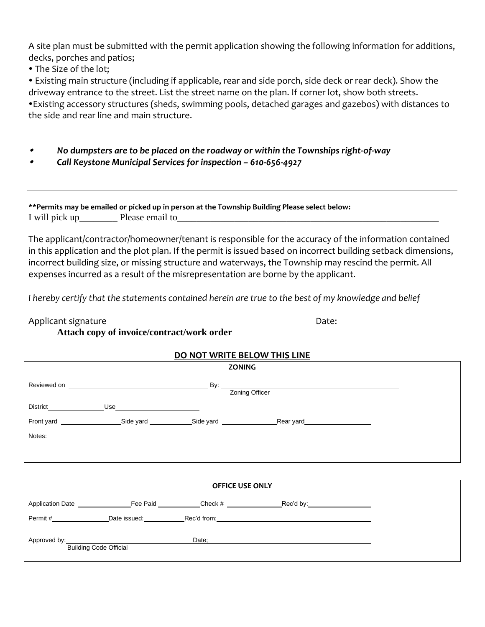A site plan must be submitted with the permit application showing the following information for additions, decks, porches and patios;

• The Size of the lot;

 Existing main structure (including if applicable, rear and side porch, side deck or rear deck). Show the driveway entrance to the street. List the street name on the plan. If corner lot, show both streets. Existing accessory structures (sheds, swimming pools, detached garages and gazebos) with distances to the side and rear line and main structure.

- . *No dumpsters are to be placed on the roadway or within the Townships right-of-way*
- . *Call Keystone Municipal Services for inspection – 610-656-4927*

**\*\*Permits may be emailed or picked up in person at the Township Building Please select below:** I will pick up\_\_\_\_\_\_\_\_ Please email to\_\_\_\_\_\_\_\_\_\_\_\_\_\_\_\_\_\_\_\_\_\_\_\_\_\_\_\_\_\_\_\_\_\_\_\_\_\_\_\_\_\_\_\_\_\_\_\_\_\_\_\_\_\_\_

The applicant/contractor/homeowner/tenant is responsible for the accuracy of the information contained in this application and the plot plan. If the permit is issued based on incorrect building setback dimensions, incorrect building size, or missing structure and waterways, the Township may rescind the permit. All expenses incurred as a result of the misrepresentation are borne by the applicant.

*I hereby certify that the statements contained herein are true to the best of my knowledge and belief*

Applicant signature Date:

## **Attach copy of invoice/contract/work order**

## **DO NOT WRITE BELOW THIS LINE**

|                               |                  | <b>ZONING</b> |                                             |  |
|-------------------------------|------------------|---------------|---------------------------------------------|--|
|                               |                  |               | By: <u>Zoning Officer</u><br>Zoning Officer |  |
|                               | District Use Use |               |                                             |  |
|                               |                  |               |                                             |  |
| Notes:                        |                  |               |                                             |  |
|                               |                  |               |                                             |  |
|                               |                  |               |                                             |  |
| <b>OFFICE USE ONLY</b>        |                  |               |                                             |  |
|                               |                  |               |                                             |  |
|                               |                  |               |                                             |  |
| <b>Building Code Official</b> |                  | Date;         |                                             |  |